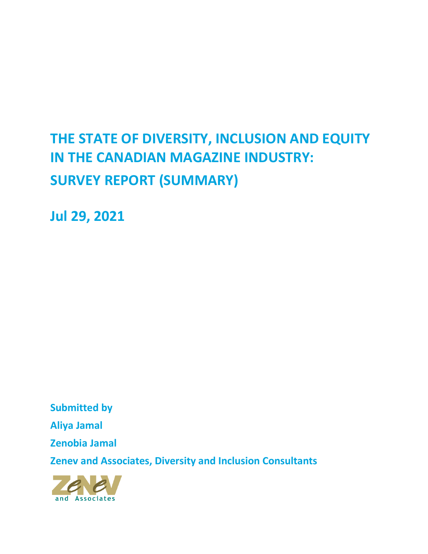# **THE STATE OF DIVERSITY, INCLUSION AND EQUITY IN THE CANADIAN MAGAZINE INDUSTRY: SURVEY REPORT (SUMMARY)**

**Jul 29, 2021**

**Submitted by Aliya Jamal Zenobia Jamal Zenev and Associates, Diversity and Inclusion Consultants**

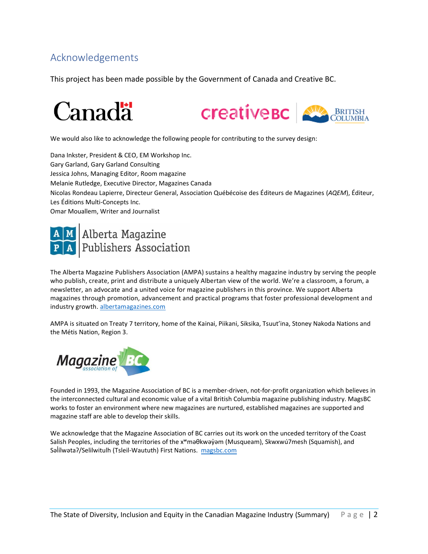# Acknowledgements

This project has been made possible by the Government of Canada and Creative BC.



We would also like to acknowledge the following people for contributing to the survey design:

Dana Inkster, President & CEO, EM Workshop Inc. Gary Garland, Gary Garland Consulting Jessica Johns, Managing Editor, Room magazine Melanie Rutledge, Executive Director, Magazines Canada Nicolas Rondeau Lapierre, Directeur General, Association Québécoise des Éditeurs de Magazines (*AQEM*), Éditeur, Les Éditions Multi-Concepts Inc. Omar Mouallem, Writer and Journalist



The Alberta Magazine Publishers Association (AMPA) sustains a healthy magazine industry by serving the people who publish, create, print and distribute a uniquely Albertan view of the world. We're a classroom, a forum, a newsletter, an advocate and a united voice for magazine publishers in this province. We support Alberta magazines through promotion, advancement and practical programs that foster professional development and industry growth. [albertamagazines.com](https://albertamagazines.com/)

AMPA is situated on Treaty 7 territory, home of the Kainai, Piikani, Siksika, Tsuut'ina, Stoney Nakoda Nations and the Métis Nation, Region 3.



Founded in 1993, the Magazine Association of BC is a member-driven, not-for-profit organization which believes in the interconnected cultural and economic value of a vital British Columbia magazine publishing industry. MagsBC works to foster an environment where new magazines are nurtured, established magazines are supported and magazine staff are able to develop their skills.

We acknowledge that the Magazine Association of BC carries out its work on the unceded territory of the Coast Salish Peoples, including the territories of the xʷməθkwəy̓əm (Musqueam), Skwxwú7mesh (Squamish), and Salílwata?/Selilwitulh (Tsleil-Waututh) First Nations. [magsbc.com](https://magsbc.com/)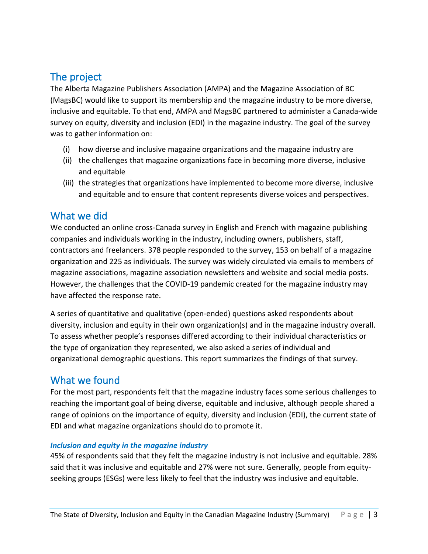# The project

The Alberta Magazine Publishers Association (AMPA) and the Magazine Association of BC (MagsBC) would like to support its membership and the magazine industry to be more diverse, inclusive and equitable. To that end, AMPA and MagsBC partnered to administer a Canada-wide survey on equity, diversity and inclusion (EDI) in the magazine industry. The goal of the survey was to gather information on:

- (i) how diverse and inclusive magazine organizations and the magazine industry are
- (ii) the challenges that magazine organizations face in becoming more diverse, inclusive and equitable
- (iii) the strategies that organizations have implemented to become more diverse, inclusive and equitable and to ensure that content represents diverse voices and perspectives.

# What we did

We conducted an online cross-Canada survey in English and French with magazine publishing companies and individuals working in the industry, including owners, publishers, staff, contractors and freelancers. 378 people responded to the survey, 153 on behalf of a magazine organization and 225 as individuals. The survey was widely circulated via emails to members of magazine associations, magazine association newsletters and website and social media posts. However, the challenges that the COVID-19 pandemic created for the magazine industry may have affected the response rate.

A series of quantitative and qualitative (open-ended) questions asked respondents about diversity, inclusion and equity in their own organization(s) and in the magazine industry overall. To assess whether people's responses differed according to their individual characteristics or the type of organization they represented, we also asked a series of individual and organizational demographic questions. This report summarizes the findings of that survey.

# What we found

For the most part, respondents felt that the magazine industry faces some serious challenges to reaching the important goal of being diverse, equitable and inclusive, although people shared a range of opinions on the importance of equity, diversity and inclusion (EDI), the current state of EDI and what magazine organizations should do to promote it.

# *Inclusion and equity in the magazine industry*

45% of respondents said that they felt the magazine industry is not inclusive and equitable. 28% said that it was inclusive and equitable and 27% were not sure. Generally, people from equityseeking groups (ESGs) were less likely to feel that the industry was inclusive and equitable.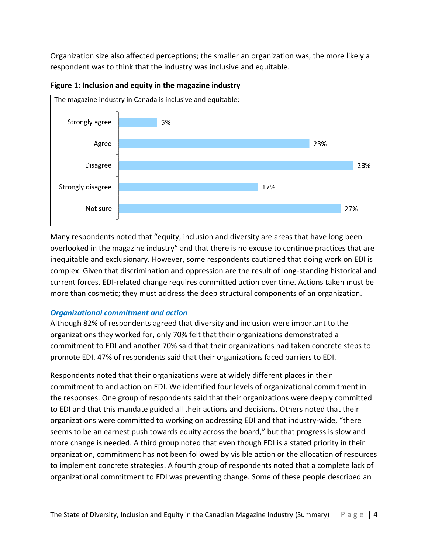Organization size also affected perceptions; the smaller an organization was, the more likely a respondent was to think that the industry was inclusive and equitable.



**Figure 1: Inclusion and equity in the magazine industry**

Many respondents noted that "equity, inclusion and diversity are areas that have long been overlooked in the magazine industry" and that there is no excuse to continue practices that are inequitable and exclusionary. However, some respondents cautioned that doing work on EDI is complex. Given that discrimination and oppression are the result of long-standing historical and current forces, EDI-related change requires committed action over time. Actions taken must be more than cosmetic; they must address the deep structural components of an organization.

# *Organizational commitment and action*

Although 82% of respondents agreed that diversity and inclusion were important to the organizations they worked for, only 70% felt that their organizations demonstrated a commitment to EDI and another 70% said that their organizations had taken concrete steps to promote EDI. 47% of respondents said that their organizations faced barriers to EDI.

Respondents noted that their organizations were at widely different places in their commitment to and action on EDI. We identified four levels of organizational commitment in the responses. One group of respondents said that their organizations were deeply committed to EDI and that this mandate guided all their actions and decisions. Others noted that their organizations were committed to working on addressing EDI and that industry-wide, "there seems to be an earnest push towards equity across the board," but that progress is slow and more change is needed. A third group noted that even though EDI is a stated priority in their organization, commitment has not been followed by visible action or the allocation of resources to implement concrete strategies. A fourth group of respondents noted that a complete lack of organizational commitment to EDI was preventing change. Some of these people described an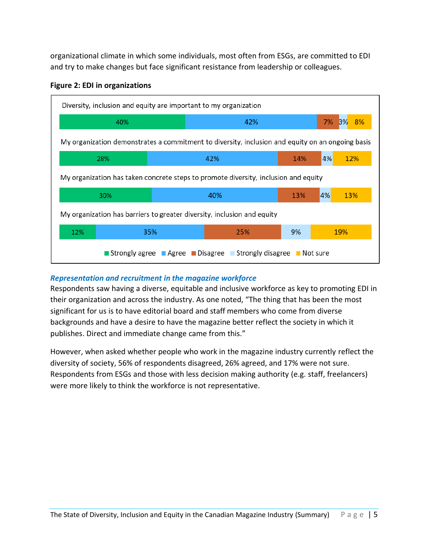organizational climate in which some individuals, most often from ESGs, are committed to EDI and try to make changes but face significant resistance from leadership or colleagues.



#### **Figure 2: EDI in organizations**

# *Representation and recruitment in the magazine workforce*

Respondents saw having a diverse, equitable and inclusive workforce as key to promoting EDI in their organization and across the industry. As one noted, "The thing that has been the most significant for us is to have editorial board and staff members who come from diverse backgrounds and have a desire to have the magazine better reflect the society in which it publishes. Direct and immediate change came from this."

However, when asked whether people who work in the magazine industry currently reflect the diversity of society, 56% of respondents disagreed, 26% agreed, and 17% were not sure. Respondents from ESGs and those with less decision making authority (e.g. staff, freelancers) were more likely to think the workforce is not representative.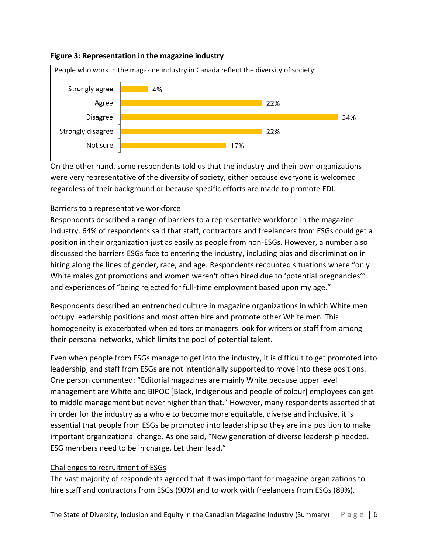### **Figure 3: Representation in the magazine industry**



On the other hand, some respondents told us that the industry and their own organizations were very representative of the diversity of society, either because everyone is welcomed regardless of their background or because specific efforts are made to promote EDI.

# Barriers to a representative workforce

Respondents described a range of barriers to a representative workforce in the magazine industry. 64% of respondents said that staff, contractors and freelancers from ESGs could get a position in their organization just as easily as people from non-ESGs. However, a number also discussed the barriers ESGs face to entering the industry, including bias and discrimination in hiring along the lines of gender, race, and age. Respondents recounted situations where "only White males got promotions and women weren't often hired due to 'potential pregnancies'" and experiences of "being rejected for full-time employment based upon my age."

Respondents described an entrenched culture in magazine organizations in which White men occupy leadership positions and most often hire and promote other White men. This homogeneity is exacerbated when editors or managers look for writers or staff from among their personal networks, which limits the pool of potential talent.

Even when people from ESGs manage to get into the industry, it is difficult to get promoted into leadership, and staff from ESGs are not intentionally supported to move into these positions. One person commented: "Editorial magazines are mainly White because upper level management are White and BIPOC [Black, Indigenous and people of colour] employees can get to middle management but never higher than that." However, many respondents asserted that in order for the industry as a whole to become more equitable, diverse and inclusive, it is essential that people from ESGs be promoted into leadership so they are in a position to make important organizational change. As one said, "New generation of diverse leadership needed. ESG members need to be in charge. Let them lead."

# Challenges to recruitment of ESGs

The vast majority of respondents agreed that it was important for magazine organizations to hire staff and contractors from ESGs (90%) and to work with freelancers from ESGs (89%).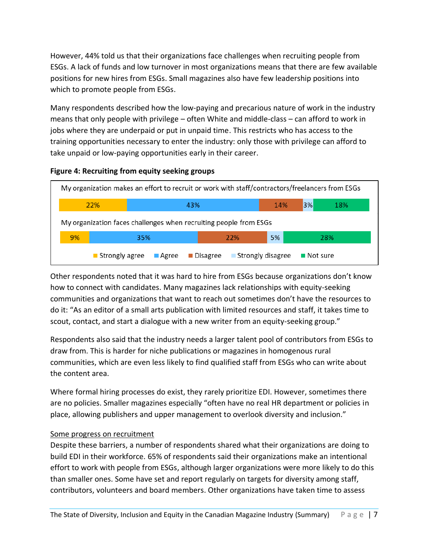However, 44% told us that their organizations face challenges when recruiting people from ESGs. A lack of funds and low turnover in most organizations means that there are few available positions for new hires from ESGs. Small magazines also have few leadership positions into which to promote people from ESGs.

Many respondents described how the low-paying and precarious nature of work in the industry means that only people with privilege – often White and middle-class – can afford to work in jobs where they are underpaid or put in unpaid time. This restricts who has access to the training opportunities necessary to enter the industry: only those with privilege can afford to take unpaid or low-paying opportunities early in their career.



**Figure 4: Recruiting from equity seeking groups**

Other respondents noted that it was hard to hire from ESGs because organizations don't know how to connect with candidates. Many magazines lack relationships with equity-seeking communities and organizations that want to reach out sometimes don't have the resources to do it: "As an editor of a small arts publication with limited resources and staff, it takes time to scout, contact, and start a dialogue with a new writer from an equity-seeking group."

Respondents also said that the industry needs a larger talent pool of contributors from ESGs to draw from. This is harder for niche publications or magazines in homogenous rural communities, which are even less likely to find qualified staff from ESGs who can write about the content area.

Where formal hiring processes do exist, they rarely prioritize EDI. However, sometimes there are no policies. Smaller magazines especially "often have no real HR department or policies in place, allowing publishers and upper management to overlook diversity and inclusion."

# Some progress on recruitment

Despite these barriers, a number of respondents shared what their organizations are doing to build EDI in their workforce. 65% of respondents said their organizations make an intentional effort to work with people from ESGs, although larger organizations were more likely to do this than smaller ones. Some have set and report regularly on targets for diversity among staff, contributors, volunteers and board members. Other organizations have taken time to assess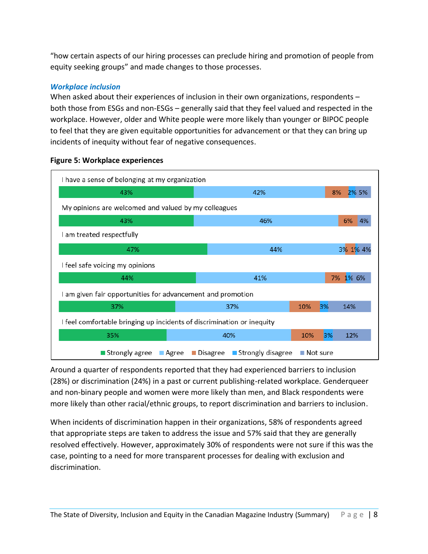"how certain aspects of our hiring processes can preclude hiring and promotion of people from equity seeking groups" and made changes to those processes.

# *Workplace inclusion*

When asked about their experiences of inclusion in their own organizations, respondents – both those from ESGs and non-ESGs – generally said that they feel valued and respected in the workplace. However, older and White people were more likely than younger or BIPOC people to feel that they are given equitable opportunities for advancement or that they can bring up incidents of inequity without fear of negative consequences.



#### **Figure 5: Workplace experiences**

Around a quarter of respondents reported that they had experienced barriers to inclusion (28%) or discrimination (24%) in a past or current publishing-related workplace. Genderqueer and non-binary people and women were more likely than men, and Black respondents were more likely than other racial/ethnic groups, to report discrimination and barriers to inclusion.

When incidents of discrimination happen in their organizations, 58% of respondents agreed that appropriate steps are taken to address the issue and 57% said that they are generally resolved effectively. However, approximately 30% of respondents were not sure if this was the case, pointing to a need for more transparent processes for dealing with exclusion and discrimination.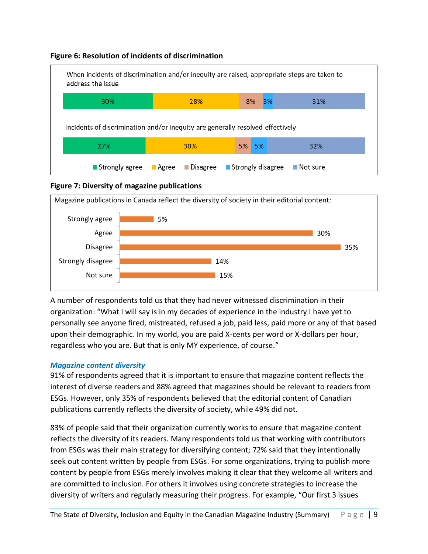



# **Figure 7: Diversity of magazine publications**



A number of respondents told us that they had never witnessed discrimination in their organization: "What I will say is in my decades of experience in the industry I have yet to personally see anyone fired, mistreated, refused a job, paid less, paid more or any of that based upon their demographic. In my world, you are paid X-cents per word or X-dollars per hour, regardless who you are. But that is only MY experience, of course."

# *Magazine content diversity*

91% of respondents agreed that it is important to ensure that magazine content reflects the interest of diverse readers and 88% agreed that magazines should be relevant to readers from ESGs. However, only 35% of respondents believed that the editorial content of Canadian publications currently reflects the diversity of society, while 49% did not.

83% of people said that their organization currently works to ensure that magazine content reflects the diversity of its readers. Many respondents told us that working with contributors from ESGs was their main strategy for diversifying content; 72% said that they intentionally seek out content written by people from ESGs. For some organizations, trying to publish more content by people from ESGs merely involves making it clear that they welcome all writers and are committed to inclusion. For others it involves using concrete strategies to increase the diversity of writers and regularly measuring their progress. For example, "Our first 3 issues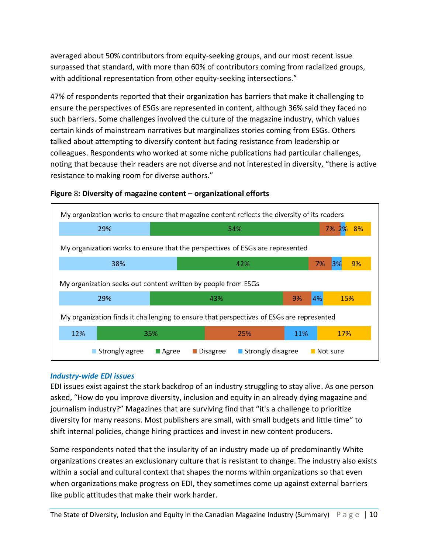averaged about 50% contributors from equity-seeking groups, and our most recent issue surpassed that standard, with more than 60% of contributors coming from racialized groups, with additional representation from other equity-seeking intersections."

47% of respondents reported that their organization has barriers that make it challenging to ensure the perspectives of ESGs are represented in content, although 36% said they faced no such barriers. Some challenges involved the culture of the magazine industry, which values certain kinds of mainstream narratives but marginalizes stories coming from ESGs. Others talked about attempting to diversify content but facing resistance from leadership or colleagues. Respondents who worked at some niche publications had particular challenges, noting that because their readers are not diverse and not interested in diversity, "there is active resistance to making room for diverse authors."



### **Figure** 8**: Diversity of magazine content – organizational efforts**

#### *Industry-wide EDI issues*

EDI issues exist against the stark backdrop of an industry struggling to stay alive. As one person asked, "How do you improve diversity, inclusion and equity in an already dying magazine and journalism industry?" Magazines that are surviving find that "it's a challenge to prioritize diversity for many reasons. Most publishers are small, with small budgets and little time" to shift internal policies, change hiring practices and invest in new content producers.

Some respondents noted that the insularity of an industry made up of predominantly White organizations creates an exclusionary culture that is resistant to change. The industry also exists within a social and cultural context that shapes the norms within organizations so that even when organizations make progress on EDI, they sometimes come up against external barriers like public attitudes that make their work harder.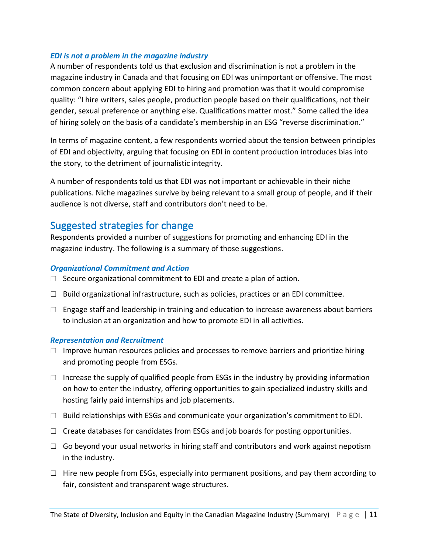### *EDI is not a problem in the magazine industry*

A number of respondents told us that exclusion and discrimination is not a problem in the magazine industry in Canada and that focusing on EDI was unimportant or offensive. The most common concern about applying EDI to hiring and promotion was that it would compromise quality: "I hire writers, sales people, production people based on their qualifications, not their gender, sexual preference or anything else. Qualifications matter most." Some called the idea of hiring solely on the basis of a candidate's membership in an ESG "reverse discrimination."

In terms of magazine content, a few respondents worried about the tension between principles of EDI and objectivity, arguing that focusing on EDI in content production introduces bias into the story, to the detriment of journalistic integrity.

A number of respondents told us that EDI was not important or achievable in their niche publications. Niche magazines survive by being relevant to a small group of people, and if their audience is not diverse, staff and contributors don't need to be.

# Suggested strategies for change

Respondents provided a number of suggestions for promoting and enhancing EDI in the magazine industry. The following is a summary of those suggestions.

### *Organizational Commitment and Action*

- $\Box$  Secure organizational commitment to EDI and create a plan of action.
- $\Box$  Build organizational infrastructure, such as policies, practices or an EDI committee.
- $\Box$  Engage staff and leadership in training and education to increase awareness about barriers to inclusion at an organization and how to promote EDI in all activities.

#### *Representation and Recruitment*

- $\Box$  Improve human resources policies and processes to remove barriers and prioritize hiring and promoting people from ESGs.
- $\Box$  Increase the supply of qualified people from ESGs in the industry by providing information on how to enter the industry, offering opportunities to gain specialized industry skills and hosting fairly paid internships and job placements.
- $\Box$  Build relationships with ESGs and communicate your organization's commitment to EDI.
- $\Box$  Create databases for candidates from ESGs and job boards for posting opportunities.
- $\Box$  Go beyond your usual networks in hiring staff and contributors and work against nepotism in the industry.
- $\Box$  Hire new people from ESGs, especially into permanent positions, and pay them according to fair, consistent and transparent wage structures.